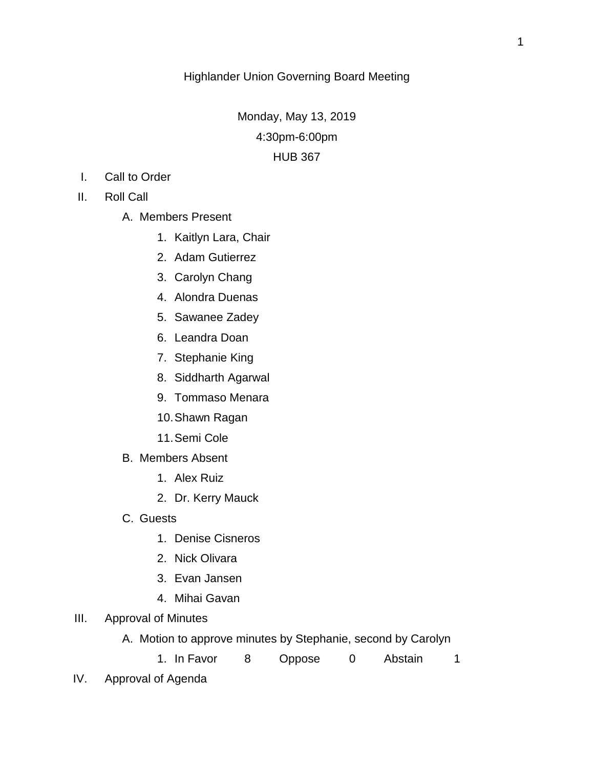Monday, May 13, 2019 4:30pm-6:00pm HUB 367

- I. Call to Order
- II. Roll Call
	- A. Members Present
		- 1. Kaitlyn Lara, Chair
		- 2. Adam Gutierrez
		- 3. Carolyn Chang
		- 4. Alondra Duenas
		- 5. Sawanee Zadey
		- 6. Leandra Doan
		- 7. Stephanie King
		- 8. Siddharth Agarwal
		- 9. Tommaso Menara
		- 10.Shawn Ragan
		- 11.Semi Cole
	- B. Members Absent
		- 1. Alex Ruiz
		- 2. Dr. Kerry Mauck
	- C. Guests
		- 1. Denise Cisneros
		- 2. Nick Olivara
		- 3. Evan Jansen
		- 4. Mihai Gavan
- III. Approval of Minutes
	- A. Motion to approve minutes by Stephanie, second by Carolyn
		- 1. In Favor 8 Oppose 0 Abstain 1
- IV. Approval of Agenda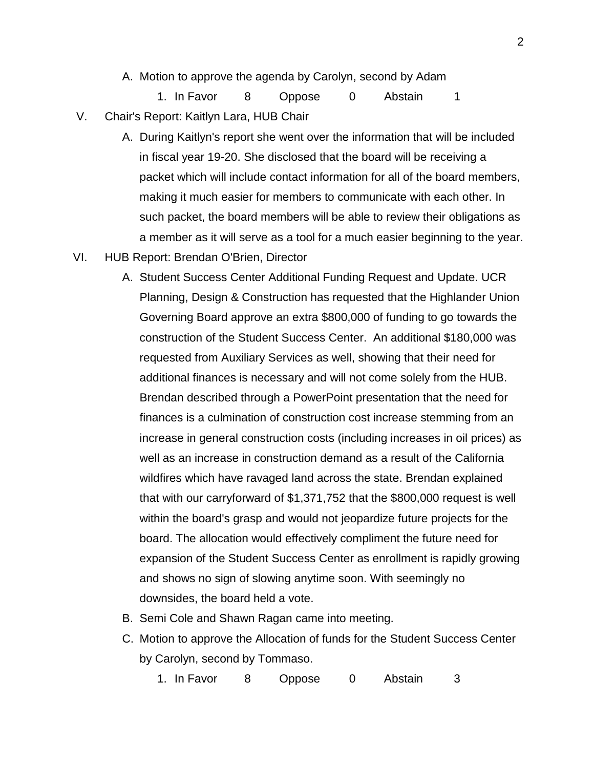A. Motion to approve the agenda by Carolyn, second by Adam

1. In Favor 8 Oppose 0 Abstain 1

- V. Chair's Report: Kaitlyn Lara, HUB Chair
	- A. During Kaitlyn's report she went over the information that will be included in fiscal year 19-20. She disclosed that the board will be receiving a packet which will include contact information for all of the board members, making it much easier for members to communicate with each other. In such packet, the board members will be able to review their obligations as a member as it will serve as a tool for a much easier beginning to the year.
- VI. HUB Report: Brendan O'Brien, Director
	- A. Student Success Center Additional Funding Request and Update. UCR Planning, Design & Construction has requested that the Highlander Union Governing Board approve an extra \$800,000 of funding to go towards the construction of the Student Success Center. An additional \$180,000 was requested from Auxiliary Services as well, showing that their need for additional finances is necessary and will not come solely from the HUB. Brendan described through a PowerPoint presentation that the need for finances is a culmination of construction cost increase stemming from an increase in general construction costs (including increases in oil prices) as well as an increase in construction demand as a result of the California wildfires which have ravaged land across the state. Brendan explained that with our carryforward of \$1,371,752 that the \$800,000 request is well within the board's grasp and would not jeopardize future projects for the board. The allocation would effectively compliment the future need for expansion of the Student Success Center as enrollment is rapidly growing and shows no sign of slowing anytime soon. With seemingly no downsides, the board held a vote.
	- B. Semi Cole and Shawn Ragan came into meeting.
	- C. Motion to approve the Allocation of funds for the Student Success Center by Carolyn, second by Tommaso.
		- 1. In Favor 8 Oppose 0 Abstain 3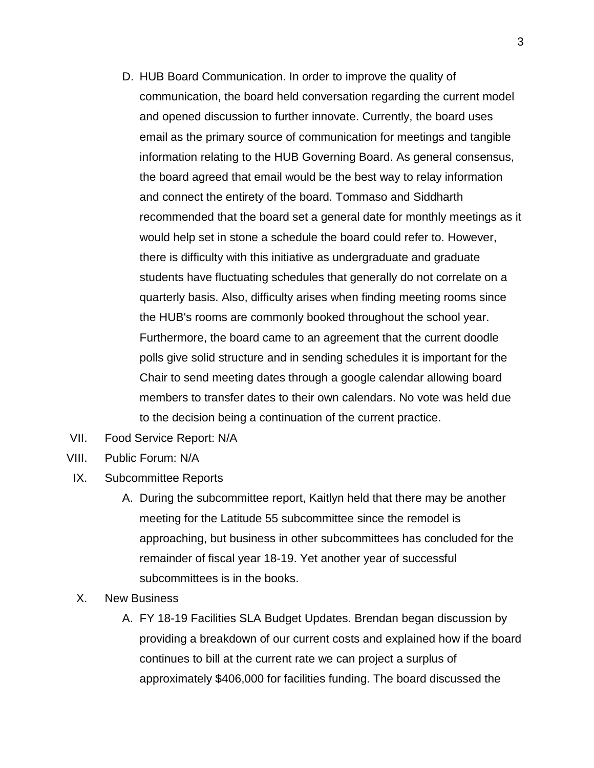- D. HUB Board Communication. In order to improve the quality of communication, the board held conversation regarding the current model and opened discussion to further innovate. Currently, the board uses email as the primary source of communication for meetings and tangible information relating to the HUB Governing Board. As general consensus, the board agreed that email would be the best way to relay information and connect the entirety of the board. Tommaso and Siddharth recommended that the board set a general date for monthly meetings as it would help set in stone a schedule the board could refer to. However, there is difficulty with this initiative as undergraduate and graduate students have fluctuating schedules that generally do not correlate on a quarterly basis. Also, difficulty arises when finding meeting rooms since the HUB's rooms are commonly booked throughout the school year. Furthermore, the board came to an agreement that the current doodle polls give solid structure and in sending schedules it is important for the Chair to send meeting dates through a google calendar allowing board members to transfer dates to their own calendars. No vote was held due to the decision being a continuation of the current practice.
- VII. Food Service Report: N/A
- VIII. Public Forum: N/A
- IX. Subcommittee Reports
	- A. During the subcommittee report, Kaitlyn held that there may be another meeting for the Latitude 55 subcommittee since the remodel is approaching, but business in other subcommittees has concluded for the remainder of fiscal year 18-19. Yet another year of successful subcommittees is in the books.
- X. New Business
	- A. FY 18-19 Facilities SLA Budget Updates. Brendan began discussion by providing a breakdown of our current costs and explained how if the board continues to bill at the current rate we can project a surplus of approximately \$406,000 for facilities funding. The board discussed the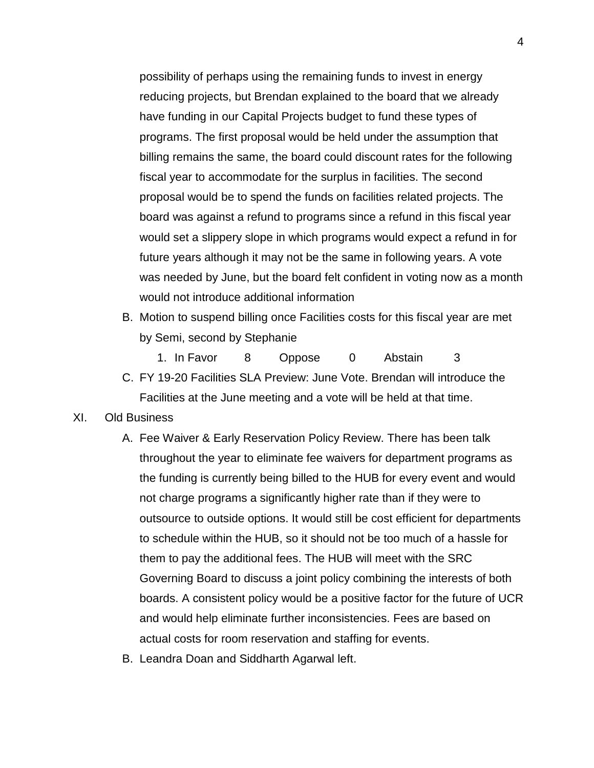possibility of perhaps using the remaining funds to invest in energy reducing projects, but Brendan explained to the board that we already have funding in our Capital Projects budget to fund these types of programs. The first proposal would be held under the assumption that billing remains the same, the board could discount rates for the following fiscal year to accommodate for the surplus in facilities. The second proposal would be to spend the funds on facilities related projects. The board was against a refund to programs since a refund in this fiscal year would set a slippery slope in which programs would expect a refund in for future years although it may not be the same in following years. A vote was needed by June, but the board felt confident in voting now as a month would not introduce additional information

B. Motion to suspend billing once Facilities costs for this fiscal year are met by Semi, second by Stephanie

1. In Favor 8 Oppose 0 Abstain 3 C. FY 19-20 Facilities SLA Preview: June Vote. Brendan will introduce the Facilities at the June meeting and a vote will be held at that time.

## XI. Old Business

- A. Fee Waiver & Early Reservation Policy Review. There has been talk throughout the year to eliminate fee waivers for department programs as the funding is currently being billed to the HUB for every event and would not charge programs a significantly higher rate than if they were to outsource to outside options. It would still be cost efficient for departments to schedule within the HUB, so it should not be too much of a hassle for them to pay the additional fees. The HUB will meet with the SRC Governing Board to discuss a joint policy combining the interests of both boards. A consistent policy would be a positive factor for the future of UCR and would help eliminate further inconsistencies. Fees are based on actual costs for room reservation and staffing for events.
- B. Leandra Doan and Siddharth Agarwal left.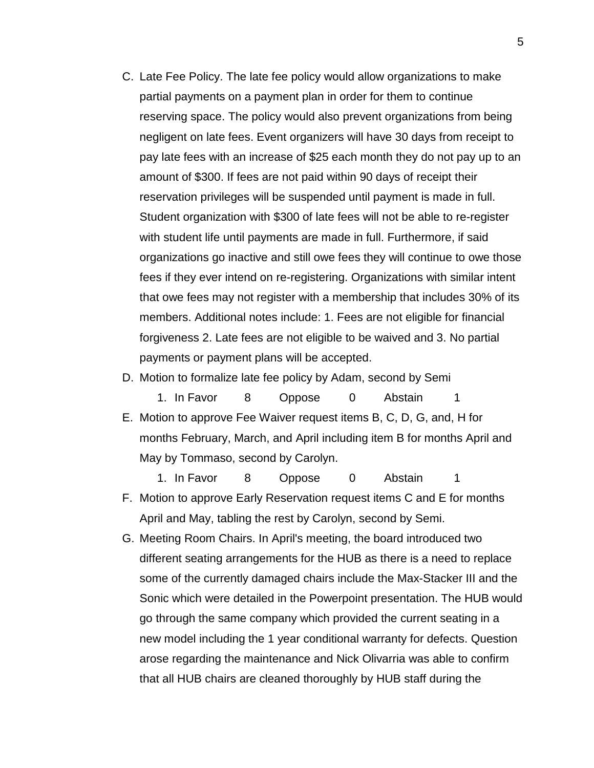C. Late Fee Policy. The late fee policy would allow organizations to make partial payments on a payment plan in order for them to continue reserving space. The policy would also prevent organizations from being negligent on late fees. Event organizers will have 30 days from receipt to pay late fees with an increase of \$25 each month they do not pay up to an amount of \$300. If fees are not paid within 90 days of receipt their reservation privileges will be suspended until payment is made in full. Student organization with \$300 of late fees will not be able to re-register with student life until payments are made in full. Furthermore, if said organizations go inactive and still owe fees they will continue to owe those fees if they ever intend on re-registering. Organizations with similar intent that owe fees may not register with a membership that includes 30% of its members. Additional notes include: 1. Fees are not eligible for financial forgiveness 2. Late fees are not eligible to be waived and 3. No partial payments or payment plans will be accepted.

## D. Motion to formalize late fee policy by Adam, second by Semi

1. In Favor 8 Oppose 0 Abstain 1 E. Motion to approve Fee Waiver request items B, C, D, G, and, H for months February, March, and April including item B for months April and May by Tommaso, second by Carolyn.

1. In Favor 8 Oppose 0 Abstain 1 F. Motion to approve Early Reservation request items C and E for months April and May, tabling the rest by Carolyn, second by Semi.

G. Meeting Room Chairs. In April's meeting, the board introduced two different seating arrangements for the HUB as there is a need to replace some of the currently damaged chairs include the Max-Stacker III and the Sonic which were detailed in the Powerpoint presentation. The HUB would go through the same company which provided the current seating in a new model including the 1 year conditional warranty for defects. Question arose regarding the maintenance and Nick Olivarria was able to confirm that all HUB chairs are cleaned thoroughly by HUB staff during the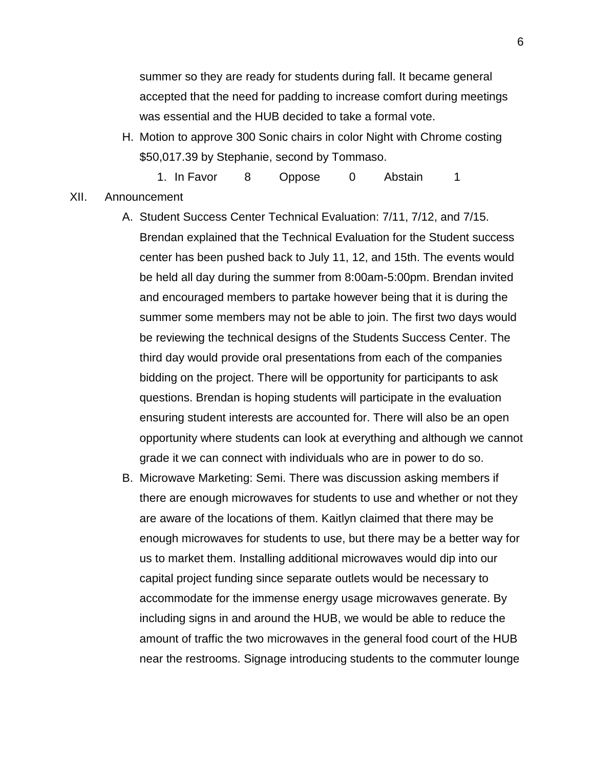summer so they are ready for students during fall. It became general accepted that the need for padding to increase comfort during meetings was essential and the HUB decided to take a formal vote.

H. Motion to approve 300 Sonic chairs in color Night with Chrome costing \$50,017.39 by Stephanie, second by Tommaso.

1. In Favor 8 Oppose 0 Abstain 1 XII. Announcement

> A. Student Success Center Technical Evaluation: 7/11, 7/12, and 7/15. Brendan explained that the Technical Evaluation for the Student success center has been pushed back to July 11, 12, and 15th. The events would be held all day during the summer from 8:00am-5:00pm. Brendan invited and encouraged members to partake however being that it is during the summer some members may not be able to join. The first two days would be reviewing the technical designs of the Students Success Center. The third day would provide oral presentations from each of the companies bidding on the project. There will be opportunity for participants to ask questions. Brendan is hoping students will participate in the evaluation ensuring student interests are accounted for. There will also be an open opportunity where students can look at everything and although we cannot grade it we can connect with individuals who are in power to do so.

B. Microwave Marketing: Semi. There was discussion asking members if there are enough microwaves for students to use and whether or not they are aware of the locations of them. Kaitlyn claimed that there may be enough microwaves for students to use, but there may be a better way for us to market them. Installing additional microwaves would dip into our capital project funding since separate outlets would be necessary to accommodate for the immense energy usage microwaves generate. By including signs in and around the HUB, we would be able to reduce the amount of traffic the two microwaves in the general food court of the HUB near the restrooms. Signage introducing students to the commuter lounge